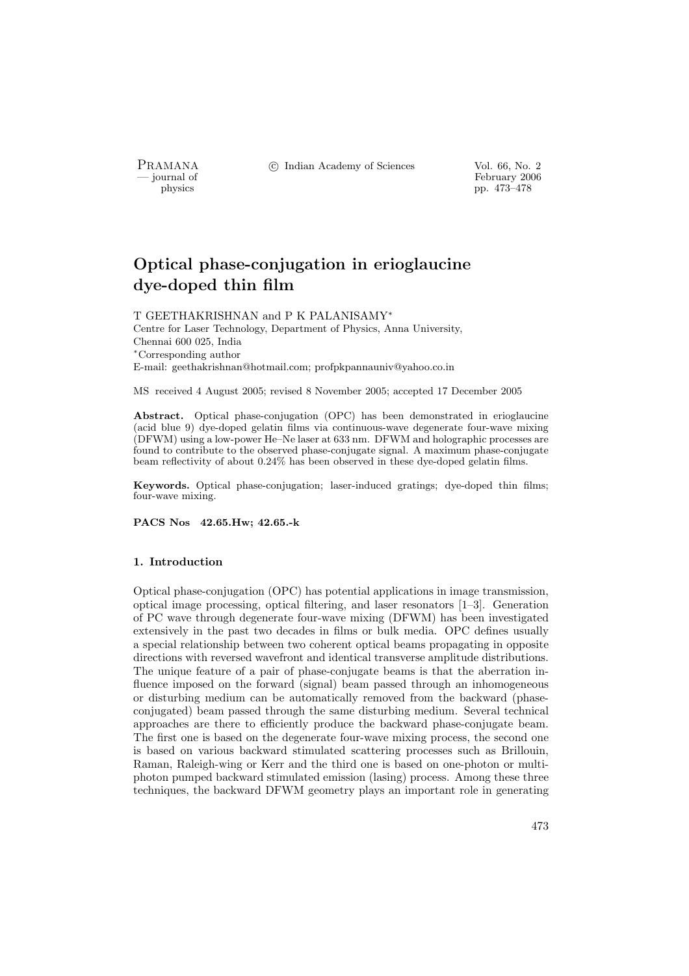PRAMANA °c Indian Academy of Sciences Vol. 66, No. 2

physics<br>
and the settlement of February 2006<br>
pp. 473–478 physics pp. 473–478

# Optical phase-conjugation in erioglaucine dye-doped thin film

T GEETHAKRISHNAN and P K PALANISAMY<sup>∗</sup> Centre for Laser Technology, Department of Physics, Anna University, Chennai 600 025, India <sup>∗</sup>Corresponding author

E-mail: geethakrishnan@hotmail.com; profpkpannauniv@yahoo.co.in

MS received 4 August 2005; revised 8 November 2005; accepted 17 December 2005

Abstract. Optical phase-conjugation (OPC) has been demonstrated in erioglaucine (acid blue 9) dye-doped gelatin films via continuous-wave degenerate four-wave mixing (DFWM) using a low-power He–Ne laser at 633 nm. DFWM and holographic processes are found to contribute to the observed phase-conjugate signal. A maximum phase-conjugate beam reflectivity of about 0.24% has been observed in these dye-doped gelatin films.

Keywords. Optical phase-conjugation; laser-induced gratings; dye-doped thin films; four-wave mixing.

PACS Nos 42.65.Hw; 42.65.-k

## 1. Introduction

Optical phase-conjugation (OPC) has potential applications in image transmission, optical image processing, optical filtering, and laser resonators [1–3]. Generation of PC wave through degenerate four-wave mixing (DFWM) has been investigated extensively in the past two decades in films or bulk media. OPC defines usually a special relationship between two coherent optical beams propagating in opposite directions with reversed wavefront and identical transverse amplitude distributions. The unique feature of a pair of phase-conjugate beams is that the aberration influence imposed on the forward (signal) beam passed through an inhomogeneous or disturbing medium can be automatically removed from the backward (phaseconjugated) beam passed through the same disturbing medium. Several technical approaches are there to efficiently produce the backward phase-conjugate beam. The first one is based on the degenerate four-wave mixing process, the second one is based on various backward stimulated scattering processes such as Brillouin, Raman, Raleigh-wing or Kerr and the third one is based on one-photon or multiphoton pumped backward stimulated emission (lasing) process. Among these three techniques, the backward DFWM geometry plays an important role in generating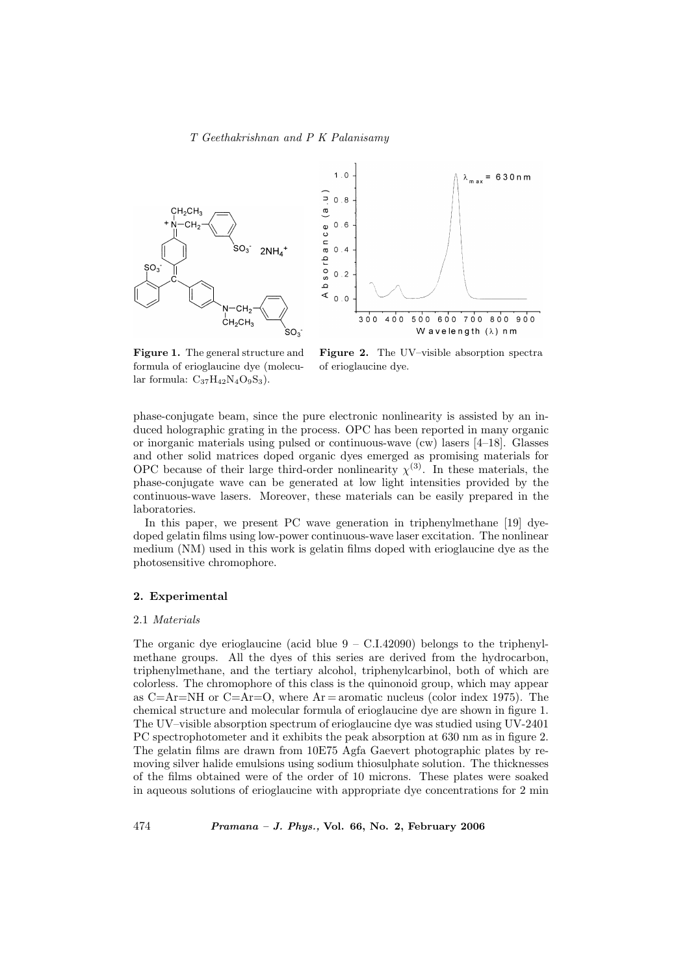

Figure 1. The general structure and formula of erioglaucine dye (molecular formula:  $C_{37}H_{42}N_4O_9S_3$ ).

Figure 2. The UV–visible absorption spectra of erioglaucine dye.

phase-conjugate beam, since the pure electronic nonlinearity is assisted by an induced holographic grating in the process. OPC has been reported in many organic or inorganic materials using pulsed or continuous-wave (cw) lasers [4–18]. Glasses and other solid matrices doped organic dyes emerged as promising materials for OPC because of their large third-order nonlinearity  $\chi^{(3)}$ . In these materials, the phase-conjugate wave can be generated at low light intensities provided by the continuous-wave lasers. Moreover, these materials can be easily prepared in the laboratories.

In this paper, we present PC wave generation in triphenylmethane [19] dyedoped gelatin films using low-power continuous-wave laser excitation. The nonlinear medium (NM) used in this work is gelatin films doped with erioglaucine dye as the photosensitive chromophore.

# 2. Experimental

## 2.1 Materials

The organic dye erioglaucine (acid blue  $9 - C.I.42090$ ) belongs to the triphenylmethane groups. All the dyes of this series are derived from the hydrocarbon, triphenylmethane, and the tertiary alcohol, triphenylcarbinol, both of which are colorless. The chromophore of this class is the quinonoid group, which may appear as  $C=Ar=NH$  or  $C=Ar=O$ , where  $Ar =$ aromatic nucleus (color index 1975). The chemical structure and molecular formula of erioglaucine dye are shown in figure 1. The UV–visible absorption spectrum of erioglaucine dye was studied using UV-2401 PC spectrophotometer and it exhibits the peak absorption at 630 nm as in figure 2. The gelatin films are drawn from 10E75 Agfa Gaevert photographic plates by removing silver halide emulsions using sodium thiosulphate solution. The thicknesses of the films obtained were of the order of 10 microns. These plates were soaked in aqueous solutions of erioglaucine with appropriate dye concentrations for 2 min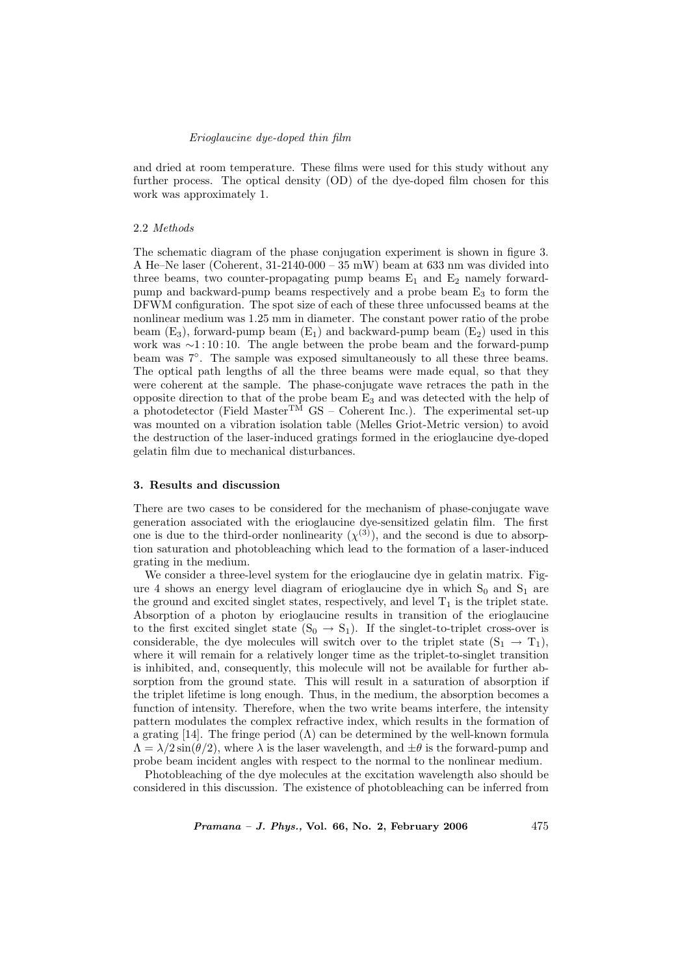### Erioglaucine dye-doped thin film

and dried at room temperature. These films were used for this study without any further process. The optical density (OD) of the dye-doped film chosen for this work was approximately 1.

#### 2.2 Methods

The schematic diagram of the phase conjugation experiment is shown in figure 3. A He–Ne laser (Coherent, 31-2140-000 – 35 mW) beam at 633 nm was divided into three beams, two counter-propagating pump beams  $E_1$  and  $E_2$  namely forwardpump and backward-pump beams respectively and a probe beam E<sup>3</sup> to form the DFWM configuration. The spot size of each of these three unfocussed beams at the nonlinear medium was 1.25 mm in diameter. The constant power ratio of the probe beam  $(E_3)$ , forward-pump beam  $(E_1)$  and backward-pump beam  $(E_2)$  used in this work was ∼1:10:10. The angle between the probe beam and the forward-pump beam was  $7°$ . The sample was exposed simultaneously to all these three beams. The optical path lengths of all the three beams were made equal, so that they were coherent at the sample. The phase-conjugate wave retraces the path in the opposite direction to that of the probe beam E<sup>3</sup> and was detected with the help of a photodetector (Field Master<sup>TM</sup> GS – Coherent Inc.). The experimental set-up was mounted on a vibration isolation table (Melles Griot-Metric version) to avoid the destruction of the laser-induced gratings formed in the erioglaucine dye-doped gelatin film due to mechanical disturbances.

## 3. Results and discussion

There are two cases to be considered for the mechanism of phase-conjugate wave generation associated with the erioglaucine dye-sensitized gelatin film. The first one is due to the third-order nonlinearity  $(\chi^{(3)})$ , and the second is due to absorption saturation and photobleaching which lead to the formation of a laser-induced grating in the medium.

We consider a three-level system for the erioglaucine dye in gelatin matrix. Figure 4 shows an energy level diagram of erioglaucine dye in which  $S_0$  and  $S_1$  are the ground and excited singlet states, respectively, and level  $T_1$  is the triplet state. Absorption of a photon by erioglaucine results in transition of the erioglaucine to the first excited singlet state  $(S_0 \rightarrow S_1)$ . If the singlet-to-triplet cross-over is considerable, the dye molecules will switch over to the triplet state  $(S_1 \rightarrow T_1)$ , where it will remain for a relatively longer time as the triplet-to-singlet transition is inhibited, and, consequently, this molecule will not be available for further absorption from the ground state. This will result in a saturation of absorption if the triplet lifetime is long enough. Thus, in the medium, the absorption becomes a function of intensity. Therefore, when the two write beams interfere, the intensity pattern modulates the complex refractive index, which results in the formation of a grating [14]. The fringe period  $(\Lambda)$  can be determined by the well-known formula  $\Lambda = \lambda/2 \sin(\theta/2)$ , where  $\lambda$  is the laser wavelength, and  $\pm \theta$  is the forward-pump and probe beam incident angles with respect to the normal to the nonlinear medium.

Photobleaching of the dye molecules at the excitation wavelength also should be considered in this discussion. The existence of photobleaching can be inferred from

*Pramana – J. Phys.*, Vol. 66, No. 2, February 2006  $475$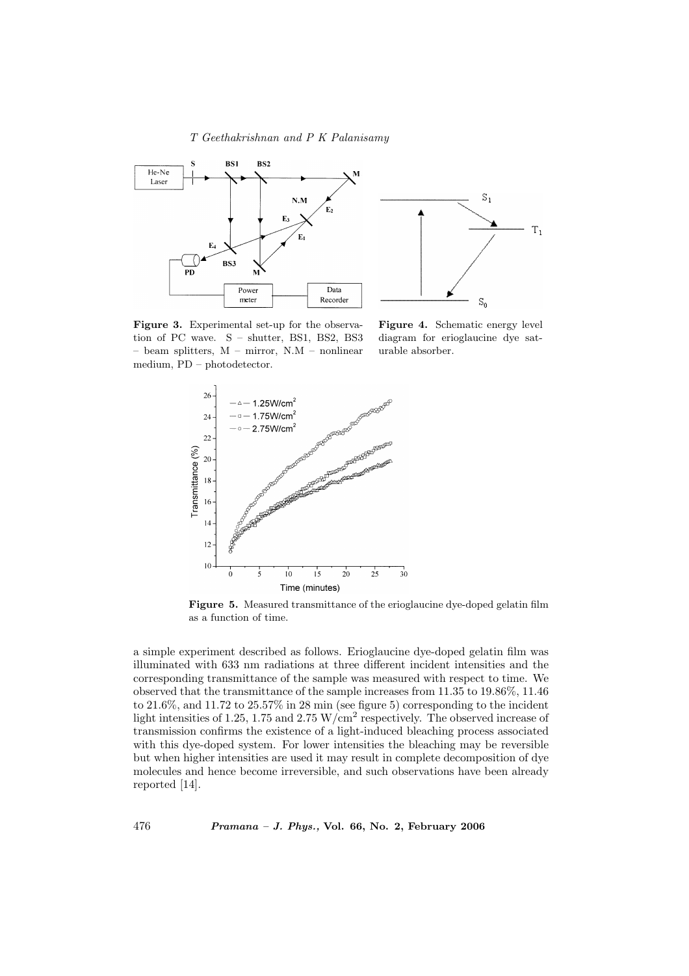

Figure 3. Experimental set-up for the observation of PC wave. S – shutter, BS1, BS2, BS3 – beam splitters, M – mirror, N.M – nonlinear medium, PD – photodetector.

Figure 4. Schematic energy level diagram for erioglaucine dye saturable absorber.

 $T_{1}$ 



Figure 5. Measured transmittance of the erioglaucine dye-doped gelatin film as a function of time.

a simple experiment described as follows. Erioglaucine dye-doped gelatin film was illuminated with 633 nm radiations at three different incident intensities and the corresponding transmittance of the sample was measured with respect to time. We observed that the transmittance of the sample increases from 11.35 to 19.86%, 11.46 to 21.6%, and 11.72 to 25.57% in 28 min (see figure 5) corresponding to the incident light intensities of 1.25, 1.75 and 2.75 W/cm<sup>2</sup> respectively. The observed increase of transmission confirms the existence of a light-induced bleaching process associated with this dye-doped system. For lower intensities the bleaching may be reversible but when higher intensities are used it may result in complete decomposition of dye molecules and hence become irreversible, and such observations have been already reported [14].

 $476$  Pramana – J. Phys., Vol. 66, No. 2, February 2006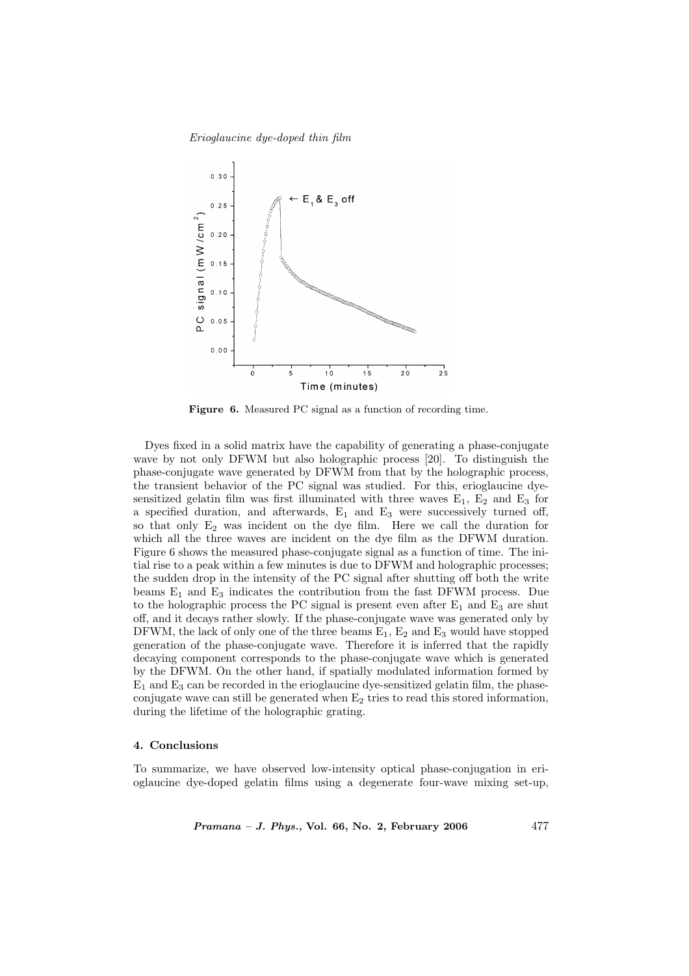Erioglaucine dye-doped thin film



Figure 6. Measured PC signal as a function of recording time.

Dyes fixed in a solid matrix have the capability of generating a phase-conjugate wave by not only DFWM but also holographic process [20]. To distinguish the phase-conjugate wave generated by DFWM from that by the holographic process, the transient behavior of the PC signal was studied. For this, erioglaucine dyesensitized gelatin film was first illuminated with three waves  $E_1$ ,  $E_2$  and  $E_3$  for a specified duration, and afterwards,  $E_1$  and  $E_3$  were successively turned off, so that only  $E_2$  was incident on the dye film. Here we call the duration for which all the three waves are incident on the dye film as the DFWM duration. Figure 6 shows the measured phase-conjugate signal as a function of time. The initial rise to a peak within a few minutes is due to DFWM and holographic processes; the sudden drop in the intensity of the PC signal after shutting off both the write beams  $E_1$  and  $E_3$  indicates the contribution from the fast DFWM process. Due to the holographic process the PC signal is present even after  $E_1$  and  $E_3$  are shut off, and it decays rather slowly. If the phase-conjugate wave was generated only by DFWM, the lack of only one of the three beams  $E_1$ ,  $E_2$  and  $E_3$  would have stopped generation of the phase-conjugate wave. Therefore it is inferred that the rapidly decaying component corresponds to the phase-conjugate wave which is generated by the DFWM. On the other hand, if spatially modulated information formed by  $E_1$  and  $E_3$  can be recorded in the erioglaucine dye-sensitized gelatin film, the phaseconjugate wave can still be generated when  $E_2$  tries to read this stored information, during the lifetime of the holographic grating.

#### 4. Conclusions

To summarize, we have observed low-intensity optical phase-conjugation in erioglaucine dye-doped gelatin films using a degenerate four-wave mixing set-up,

*Pramana – J. Phys.*, Vol. 66, No. 2, February 2006  $477$